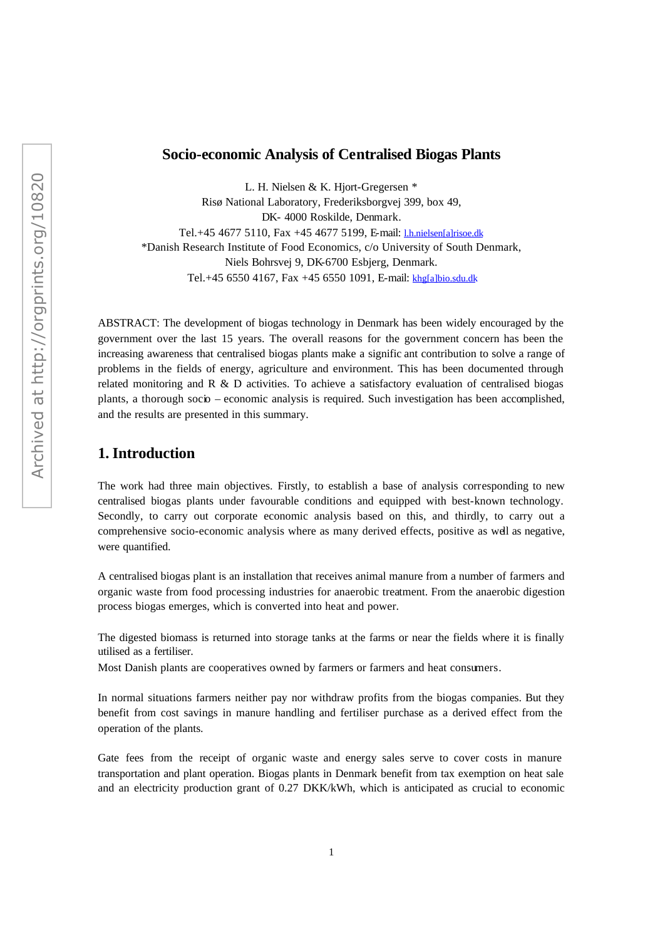## **Socio-economic Analysis of Centralised Biogas Plants**

L. H. Nielsen & K. Hjort-Gregersen \* Risø National Laboratory, Frederiksborgvej 399, box 49, DK- 4000 Roskilde, Denmark. Tel.+45 4677 5110, Fax +45 4677 5199, E-mail: l.h.nielsen[a]risoe.dk \*Danish Research Institute of Food Economics, c/o University of South Denmark, Niels Bohrsvej 9, DK-6700 Esbjerg, Denmark. Tel.+45 6550 4167, Fax +45 6550 1091, E-mail: khg[a]bio.sdu.dk

ABSTRACT: The development of biogas technology in Denmark has been widely encouraged by the government over the last 15 years. The overall reasons for the government concern has been the increasing awareness that centralised biogas plants make a signific ant contribution to solve a range of problems in the fields of energy, agriculture and environment. This has been documented through related monitoring and  $R \& D$  activities. To achieve a satisfactory evaluation of centralised biogas plants, a thorough socio – economic analysis is required. Such investigation has been accomplished, and the results are presented in this summary.

## **1. Introduction**

The work had three main objectives. Firstly, to establish a base of analysis corresponding to new centralised biogas plants under favourable conditions and equipped with best-known technology. Secondly, to carry out corporate economic analysis based on this, and thirdly, to carry out a comprehensive socio-economic analysis where as many derived effects, positive as well as negative, were quantified.

A centralised biogas plant is an installation that receives animal manure from a number of farmers and organic waste from food processing industries for anaerobic treatment. From the anaerobic digestion process biogas emerges, which is converted into heat and power.

The digested biomass is returned into storage tanks at the farms or near the fields where it is finally utilised as a fertiliser.

Most Danish plants are cooperatives owned by farmers or farmers and heat consumers.

In normal situations farmers neither pay nor withdraw profits from the biogas companies. But they benefit from cost savings in manure handling and fertiliser purchase as a derived effect from the operation of the plants.

Gate fees from the receipt of organic waste and energy sales serve to cover costs in manure transportation and plant operation. Biogas plants in Denmark benefit from tax exemption on heat sale and an electricity production grant of 0.27 DKK/kWh, which is anticipated as crucial to economic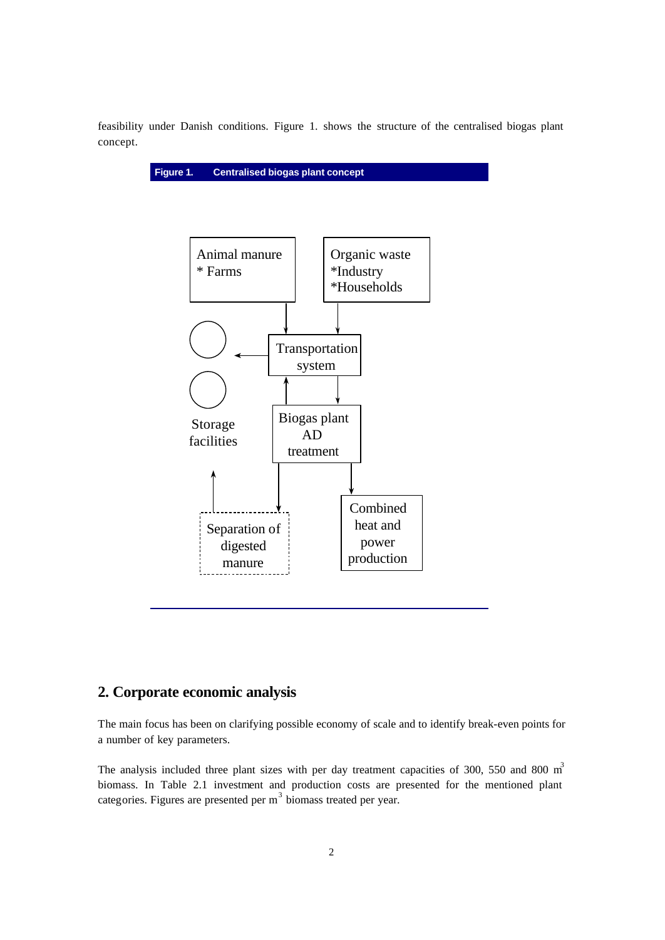feasibility under Danish conditions. Figure 1. shows the structure of the centralised biogas plant concept.





# **2. Corporate economic analysis**

The main focus has been on clarifying possible economy of scale and to identify break-even points for a number of key parameters.

The analysis included three plant sizes with per day treatment capacities of 300, 550 and 800 m<sup>3</sup> biomass. In Table 2.1 investment and production costs are presented for the mentioned plant categories. Figures are presented per m<sup>3</sup> biomass treated per year.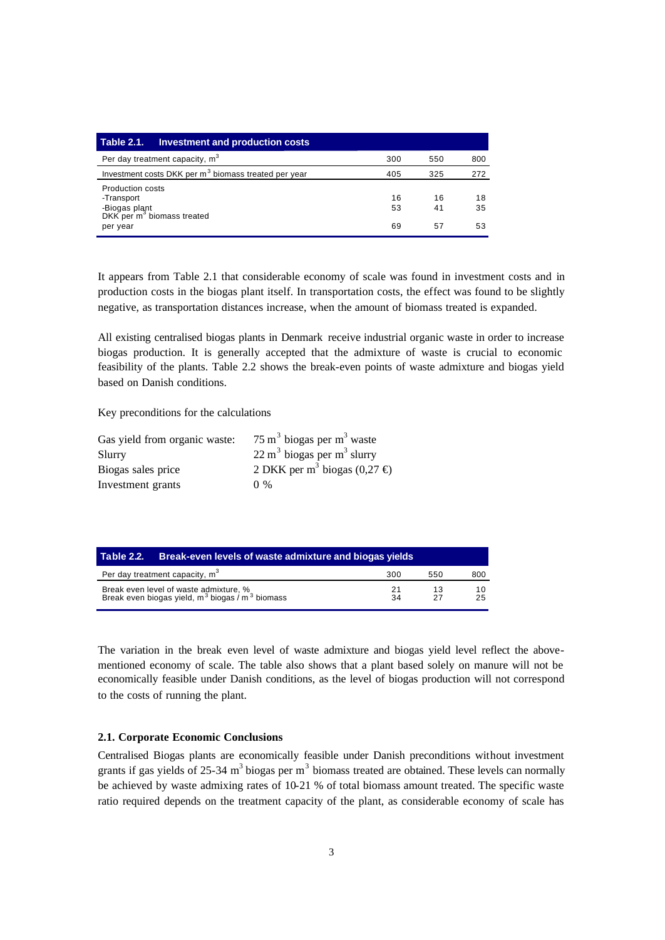| <b>Table 2.1.</b><br>Investment and production costs                                                  |                |                |                |
|-------------------------------------------------------------------------------------------------------|----------------|----------------|----------------|
| Per day treatment capacity, m <sup>3</sup>                                                            | 300            | 550            | 800            |
| Investment costs DKK per m <sup>3</sup> biomass treated per year                                      | 405            | 325            | 272            |
| Production costs<br>-Transport<br>-Biogas plant<br>DKK per m <sup>3</sup> biomass treated<br>per year | 16<br>53<br>69 | 16<br>41<br>57 | 18<br>35<br>53 |

It appears from Table 2.1 that considerable economy of scale was found in investment costs and in production costs in the biogas plant itself. In transportation costs, the effect was found to be slightly negative, as transportation distances increase, when the amount of biomass treated is expanded.

All existing centralised biogas plants in Denmark receive industrial organic waste in order to increase biogas production. It is generally accepted that the admixture of waste is crucial to economic feasibility of the plants. Table 2.2 shows the break-even points of waste admixture and biogas yield based on Danish conditions.

Key preconditions for the calculations

| Gas yield from organic waste: | $75 \text{ m}^3$ biogas per m <sup>3</sup> waste  |
|-------------------------------|---------------------------------------------------|
| Slurry                        | $22 \text{ m}^3$ biogas per m <sup>3</sup> slurry |
| Biogas sales price            | 2 DKK per m <sup>3</sup> biogas (0,27 $\oplus$ )  |
| Investment grants             | $0\%$                                             |

| Table 2.2. | Break-even levels of waste admixture and biogas yields                                                            |          |          |          |
|------------|-------------------------------------------------------------------------------------------------------------------|----------|----------|----------|
|            | Per day treatment capacity, m <sup>3</sup>                                                                        | 300      | 550      | 800      |
|            | Break even level of waste admixture, %<br>Break even biogas yield, m <sup>3</sup> biogas / m <sup>3</sup> biomass | 21<br>34 | 13<br>27 | 10<br>25 |

The variation in the break even level of waste admixture and biogas yield level reflect the abovementioned economy of scale. The table also shows that a plant based solely on manure will not be economically feasible under Danish conditions, as the level of biogas production will not correspond to the costs of running the plant.

#### **2.1. Corporate Economic Conclusions**

Centralised Biogas plants are economically feasible under Danish preconditions without investment grants if gas yields of 25-34  $m<sup>3</sup>$  biogas per  $m<sup>3</sup>$  biomass treated are obtained. These levels can normally be achieved by waste admixing rates of 10-21 % of total biomass amount treated. The specific waste ratio required depends on the treatment capacity of the plant, as considerable economy of scale has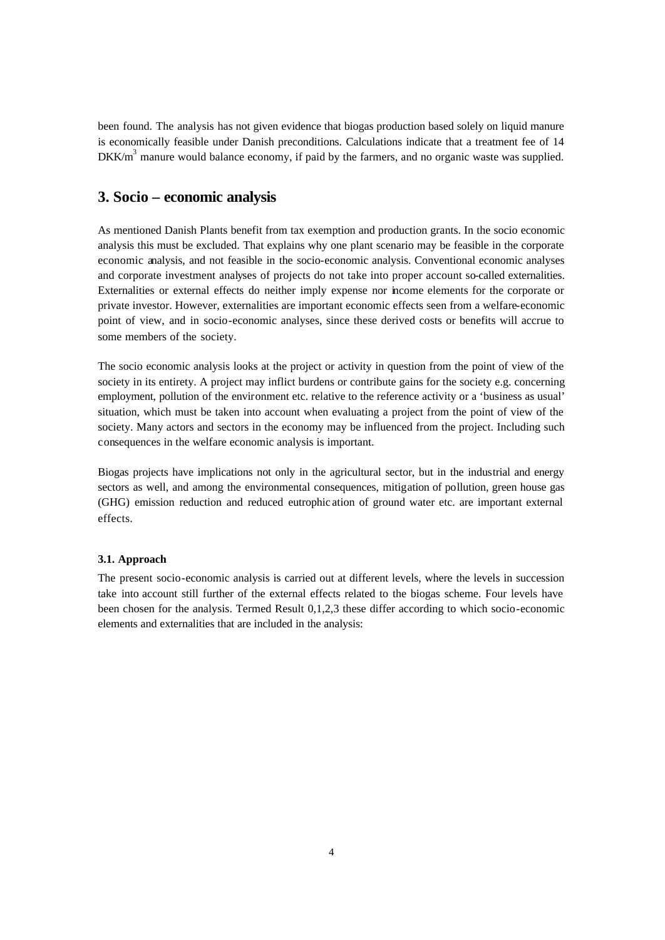been found. The analysis has not given evidence that biogas production based solely on liquid manure is economically feasible under Danish preconditions. Calculations indicate that a treatment fee of 14  $DKK/m<sup>3</sup>$  manure would balance economy, if paid by the farmers, and no organic waste was supplied.

## **3. Socio – economic analysis**

As mentioned Danish Plants benefit from tax exemption and production grants. In the socio economic analysis this must be excluded. That explains why one plant scenario may be feasible in the corporate economic analysis, and not feasible in the socio-economic analysis. Conventional economic analyses and corporate investment analyses of projects do not take into proper account so-called externalities. Externalities or external effects do neither imply expense nor income elements for the corporate or private investor. However, externalities are important economic effects seen from a welfare-economic point of view, and in socio-economic analyses, since these derived costs or benefits will accrue to some members of the society.

The socio economic analysis looks at the project or activity in question from the point of view of the society in its entirety. A project may inflict burdens or contribute gains for the society e.g. concerning employment, pollution of the environment etc. relative to the reference activity or a 'business as usual' situation, which must be taken into account when evaluating a project from the point of view of the society. Many actors and sectors in the economy may be influenced from the project. Including such consequences in the welfare economic analysis is important.

Biogas projects have implications not only in the agricultural sector, but in the industrial and energy sectors as well, and among the environmental consequences, mitigation of pollution, green house gas (GHG) emission reduction and reduced eutrophic ation of ground water etc. are important external effects.

#### **3.1. Approach**

The present socio-economic analysis is carried out at different levels, where the levels in succession take into account still further of the external effects related to the biogas scheme. Four levels have been chosen for the analysis. Termed Result 0,1,2,3 these differ according to which socio-economic elements and externalities that are included in the analysis: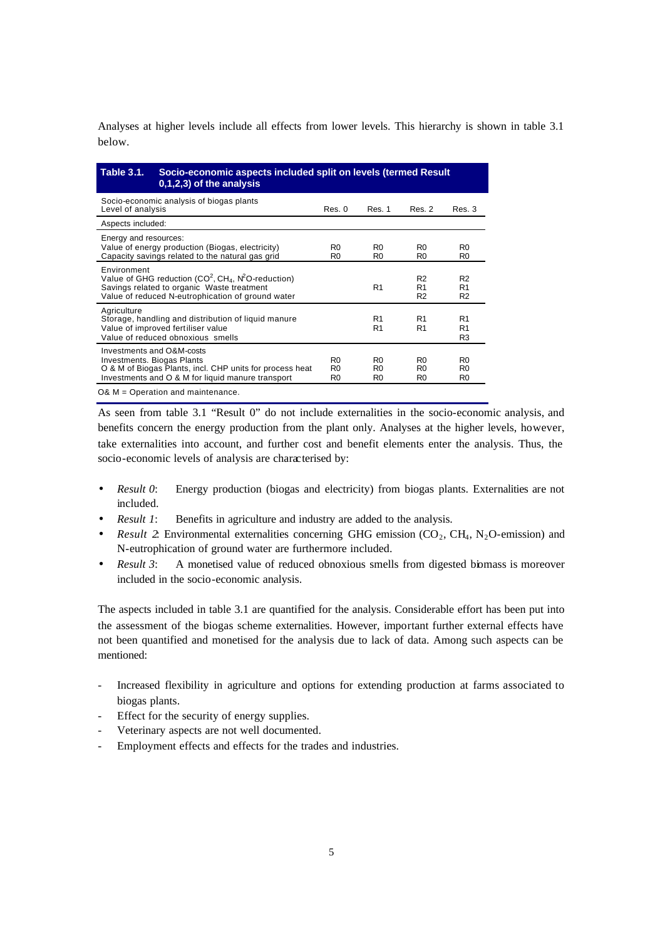Analyses at higher levels include all effects from lower levels. This hierarchy is shown in table 3.1 below.

| <b>Table 3.1.</b>                                              | Socio-economic aspects included split on levels (termed Result<br>0,1,2,3) of the analysis                                                                |                                                    |                                                    |                                                    |                                                    |
|----------------------------------------------------------------|-----------------------------------------------------------------------------------------------------------------------------------------------------------|----------------------------------------------------|----------------------------------------------------|----------------------------------------------------|----------------------------------------------------|
| Level of analysis                                              | Socio-economic analysis of biogas plants                                                                                                                  | Res. 0                                             | Res. 1                                             | Res. 2                                             | Res. 3                                             |
| Aspects included:                                              |                                                                                                                                                           |                                                    |                                                    |                                                    |                                                    |
| Energy and resources:                                          | Value of energy production (Biogas, electricity)<br>Capacity savings related to the natural gas grid                                                      | R <sub>0</sub><br>R <sub>0</sub>                   | R <sub>0</sub><br>R <sub>0</sub>                   | R <sub>0</sub><br>R <sub>0</sub>                   | R0<br>R0                                           |
| Environment                                                    | Value of GHG reduction $(CO^2, CH_4, N^2O$ -reduction)<br>Savings related to organic Waste treatment<br>Value of reduced N-eutrophication of ground water |                                                    | R <sub>1</sub>                                     | R <sub>2</sub><br>R <sub>1</sub><br>R <sub>2</sub> | R <sub>2</sub><br>R <sub>1</sub><br>R <sub>2</sub> |
| Agriculture                                                    | Storage, handling and distribution of liquid manure<br>Value of improved fertiliser value<br>Value of reduced obnoxious smells                            |                                                    | R <sub>1</sub><br>R <sub>1</sub>                   | R <sub>1</sub><br>R <sub>1</sub>                   | R <sub>1</sub><br>R1<br>R3                         |
| Investments and O&M-costs<br><b>Investments. Biogas Plants</b> | O & M of Biogas Plants, incl. CHP units for process heat<br>Investments and O & M for liquid manure transport                                             | R <sub>0</sub><br>R <sub>0</sub><br>R <sub>0</sub> | R <sub>0</sub><br>R <sub>0</sub><br>R <sub>0</sub> | R <sub>0</sub><br>R <sub>0</sub><br>R <sub>0</sub> | R0<br>R0<br>R0                                     |
| $O& M = Operation$ and maintenance.                            |                                                                                                                                                           |                                                    |                                                    |                                                    |                                                    |

As seen from table 3.1 "Result 0" do not include externalities in the socio-economic analysis, and benefits concern the energy production from the plant only. Analyses at the higher levels, however, take externalities into account, and further cost and benefit elements enter the analysis. Thus, the socio-economic levels of analysis are characterised by:

- *Result 0*: Energy production (biogas and electricity) from biogas plants. Externalities are not included.
- *Result 1*: Benefits in agriculture and industry are added to the analysis.
- *Result 2*: Environmental externalities concerning GHG emission ( $CO_2$ ,  $CH_4$ , N<sub>2</sub>O-emission) and N-eutrophication of ground water are furthermore included.
- *Result 3*: A monetised value of reduced obnoxious smells from digested biomass is moreover included in the socio-economic analysis.

The aspects included in table 3.1 are quantified for the analysis. Considerable effort has been put into the assessment of the biogas scheme externalities. However, important further external effects have not been quantified and monetised for the analysis due to lack of data. Among such aspects can be mentioned:

- Increased flexibility in agriculture and options for extending production at farms associated to biogas plants.
- Effect for the security of energy supplies.
- Veterinary aspects are not well documented.
- Employment effects and effects for the trades and industries.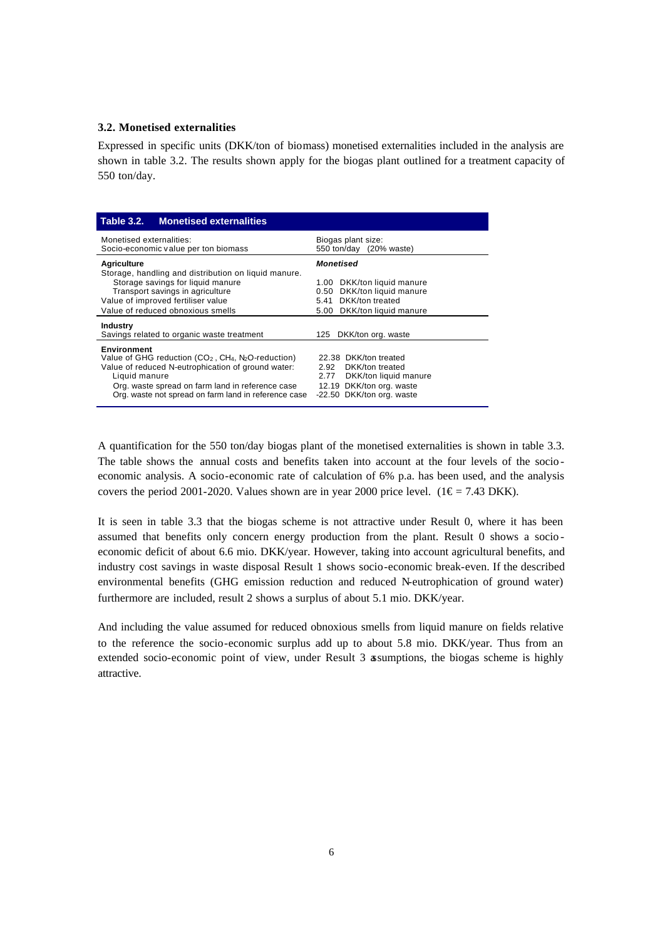#### **3.2. Monetised externalities**

Expressed in specific units (DKK/ton of biomass) monetised externalities included in the analysis are shown in table 3.2. The results shown apply for the biogas plant outlined for a treatment capacity of 550 ton/day.

| <b>Table 3.2.</b><br><b>Monetised externalities</b>                                                                                                                                                                                                             |                                                                                                                                               |  |  |
|-----------------------------------------------------------------------------------------------------------------------------------------------------------------------------------------------------------------------------------------------------------------|-----------------------------------------------------------------------------------------------------------------------------------------------|--|--|
| Monetised externalities:<br>Socio-economic value per ton biomass                                                                                                                                                                                                | Biogas plant size:<br>550 ton/day (20% waste)                                                                                                 |  |  |
| Agriculture<br>Storage, handling and distribution on liquid manure.<br>Storage savings for liquid manure<br>Transport savings in agriculture<br>Value of improved fertiliser value<br>Value of reduced obnoxious smells                                         | Monetised<br>DKK/ton liquid manure<br>1.00<br>DKK/ton liquid manure<br>0.50<br>DKK/ton treated<br>5.41<br>5.00 DKK/ton liquid manure          |  |  |
| <b>Industry</b><br>Savings related to organic waste treatment                                                                                                                                                                                                   | DKK/ton org. waste<br>125                                                                                                                     |  |  |
| <b>Environment</b><br>Value of GHG reduction $(CO_2, CH_4, N_2O$ -reduction)<br>Value of reduced N-eutrophication of ground water:<br>Liquid manure<br>Org. waste spread on farm land in reference case<br>Org. waste not spread on farm land in reference case | 22.38 DKK/ton treated<br>2.92<br>DKK/ton treated<br>DKK/ton liquid manure<br>2.77<br>12.19 DKK/ton org. waste<br>DKK/ton org. waste<br>-22.50 |  |  |

A quantification for the 550 ton/day biogas plant of the monetised externalities is shown in table 3.3. The table shows the annual costs and benefits taken into account at the four levels of the socio economic analysis. A socio-economic rate of calculation of 6% p.a. has been used, and the analysis covers the period 2001-2020. Values shown are in year 2000 price level. (1 $\epsilon$  = 7.43 DKK).

It is seen in table 3.3 that the biogas scheme is not attractive under Result 0, where it has been assumed that benefits only concern energy production from the plant. Result 0 shows a socio economic deficit of about 6.6 mio. DKK/year. However, taking into account agricultural benefits, and industry cost savings in waste disposal Result 1 shows socio-economic break-even. If the described environmental benefits (GHG emission reduction and reduced N-eutrophication of ground water) furthermore are included, result 2 shows a surplus of about 5.1 mio. DKK/year.

And including the value assumed for reduced obnoxious smells from liquid manure on fields relative to the reference the socio-economic surplus add up to about 5.8 mio. DKK/year. Thus from an extended socio-economic point of view, under Result 3 assumptions, the biogas scheme is highly attractive.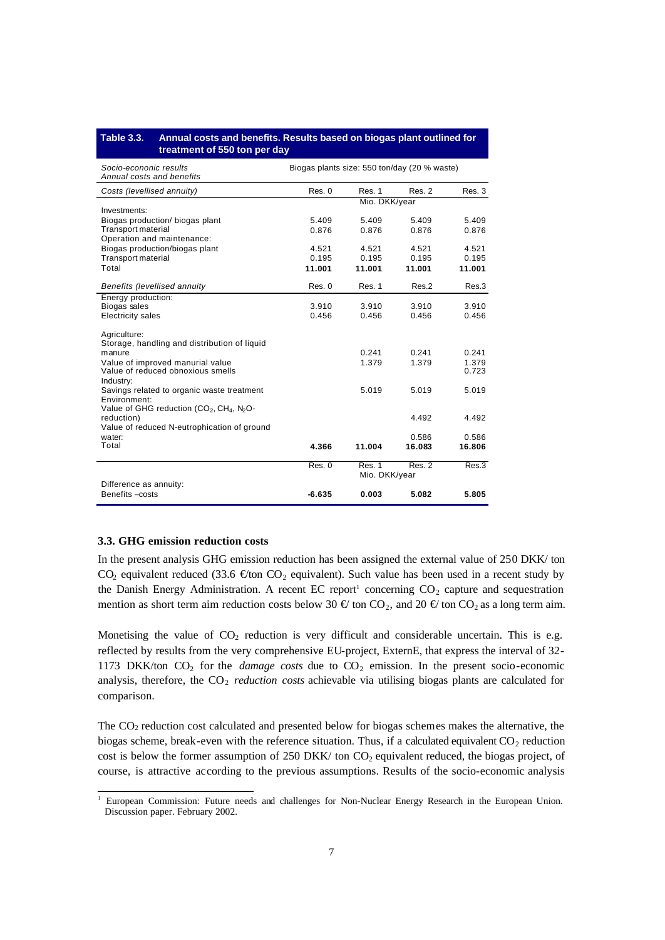#### **Table 3.3. Annual costs and benefits. Results based on biogas plant outlined for treatment of 550 ton per day**

| Socio-econonic results<br>Annual costs and benefits                           | Biogas plants size: 550 ton/day (20 % waste) |        |        |        |
|-------------------------------------------------------------------------------|----------------------------------------------|--------|--------|--------|
| Costs (levellised annuity)                                                    | Res. 0                                       | Res. 1 | Res. 2 | Res.3  |
| Investments:                                                                  | Mio. DKK/year                                |        |        |        |
|                                                                               | 5.409                                        | 5.409  | 5.409  |        |
| Biogas production/ biogas plant<br><b>Transport material</b>                  |                                              |        |        | 5.409  |
| Operation and maintenance:                                                    | 0.876                                        | 0.876  | 0.876  | 0.876  |
| Biogas production/biogas plant                                                | 4.521                                        | 4.521  | 4.521  | 4.521  |
| <b>Transport material</b>                                                     | 0.195                                        | 0.195  | 0.195  | 0.195  |
| Total                                                                         |                                              |        |        |        |
|                                                                               | 11.001                                       | 11.001 | 11.001 | 11.001 |
| Benefits (levellised annuity                                                  | Res. 0                                       | Res. 1 | Res.2  | Res.3  |
| Energy production:                                                            |                                              |        |        |        |
| Biogas sales                                                                  | 3.910                                        | 3.910  | 3.910  | 3.910  |
| <b>Electricity sales</b>                                                      | 0.456                                        | 0.456  | 0.456  | 0.456  |
| Agriculture:                                                                  |                                              |        |        |        |
| Storage, handling and distribution of liquid                                  |                                              |        |        |        |
| manure                                                                        |                                              | 0.241  | 0.241  | 0.241  |
| Value of improved manurial value                                              |                                              | 1.379  | 1.379  | 1.379  |
| Value of reduced obnoxious smells                                             |                                              |        |        | 0.723  |
| Industry:                                                                     |                                              |        |        |        |
| Savings related to organic waste treatment                                    |                                              | 5.019  | 5.019  | 5.019  |
| Environment:                                                                  |                                              |        |        |        |
| Value of GHG reduction (CO <sub>2</sub> , CH <sub>4</sub> , N <sub>2</sub> O- |                                              |        |        | 4.492  |
| reduction)<br>Value of reduced N-eutrophication of ground                     |                                              |        | 4.492  |        |
| water:                                                                        |                                              |        | 0.586  | 0.586  |
| Total                                                                         | 4.366                                        | 11.004 | 16.083 | 16.806 |
|                                                                               |                                              |        |        |        |
|                                                                               | Res. 0                                       | Res. 1 | Res. 2 | Res.3  |
|                                                                               | Mio. DKK/year                                |        |        |        |
| Difference as annuity:                                                        |                                              |        |        |        |
| Benefits - costs                                                              | $-6.635$                                     | 0.003  | 5.082  | 5.805  |

#### **3.3. GHG emission reduction costs**

In the present analysis GHG emission reduction has been assigned the external value of 250 DKK/ ton CO<sub>2</sub> equivalent reduced (33.6  $\epsilon$ ton CO<sub>2</sub> equivalent). Such value has been used in a recent study by the Danish Energy Administration. A recent EC report<sup>1</sup> concerning  $CO_2$  capture and sequestration mention as short term aim reduction costs below 30  $\oplus$  ton CO<sub>2</sub>, and 20  $\oplus$  ton CO<sub>2</sub> as a long term aim.

Monetising the value of  $CO<sub>2</sub>$  reduction is very difficult and considerable uncertain. This is e.g. reflected by results from the very comprehensive EU-project, ExternE, that express the interval of 32- 1173 DKK/ton  $CO<sub>2</sub>$  for the *damage costs* due to  $CO<sub>2</sub>$  emission. In the present socio-economic analysis, therefore, the CO<sub>2</sub> *reduction costs* achievable via utilising biogas plants are calculated for comparison.

The  $CO<sub>2</sub>$  reduction cost calculated and presented below for biogas schemes makes the alternative, the biogas scheme, break-even with the reference situation. Thus, if a calculated equivalent  $CO<sub>2</sub>$  reduction cost is below the former assumption of 250 DKK/ ton CO<sub>2</sub> equivalent reduced, the biogas project, of course, is attractive according to the previous assumptions. Results of the socio-economic analysis

<sup>&</sup>lt;sup>1</sup> European Commission: Future needs and challenges for Non-Nuclear Energy Research in the European Union. Discussion paper. February 2002.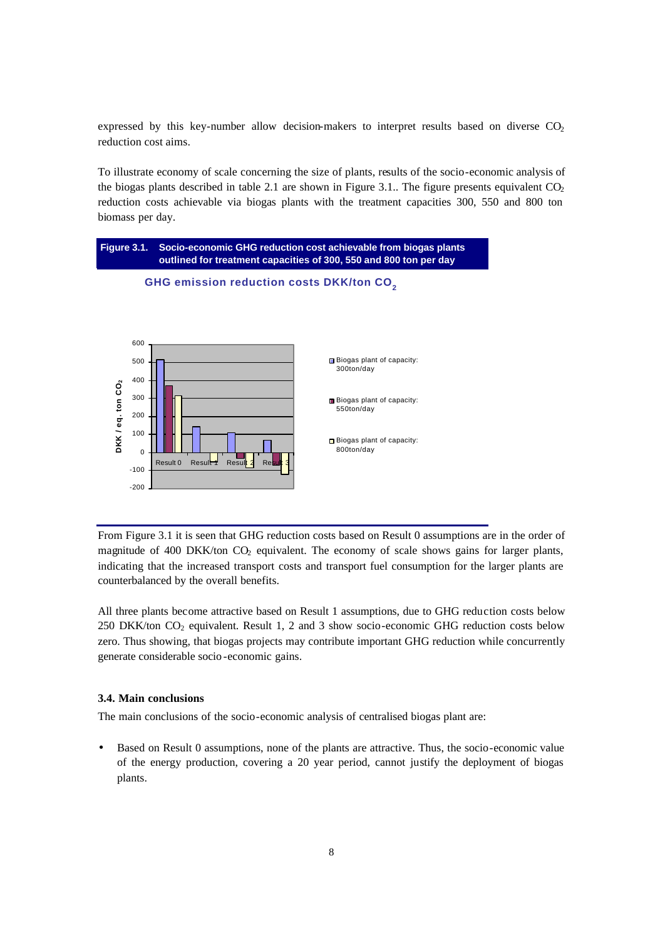expressed by this key-number allow decision-makers to interpret results based on diverse  $CO<sub>2</sub>$ reduction cost aims.

To illustrate economy of scale concerning the size of plants, results of the socio-economic analysis of the biogas plants described in table 2.1 are shown in Figure 3.1.. The figure presents equivalent  $CO<sub>2</sub>$ reduction costs achievable via biogas plants with the treatment capacities 300, 550 and 800 ton biomass per day.



From Figure 3.1 it is seen that GHG reduction costs based on Result 0 assumptions are in the order of magnitude of 400 DKK/ton  $CO<sub>2</sub>$  equivalent. The economy of scale shows gains for larger plants, indicating that the increased transport costs and transport fuel consumption for the larger plants are counterbalanced by the overall benefits.

All three plants become attractive based on Result 1 assumptions, due to GHG reduction costs below 250 DKK/ton  $CO<sub>2</sub>$  equivalent. Result 1, 2 and 3 show socio-economic GHG reduction costs below zero. Thus showing, that biogas projects may contribute important GHG reduction while concurrently generate considerable socio -economic gains.

### **3.4. Main conclusions**

The main conclusions of the socio-economic analysis of centralised biogas plant are:

• Based on Result 0 assumptions, none of the plants are attractive. Thus, the socio-economic value of the energy production, covering a 20 year period, cannot justify the deployment of biogas plants.